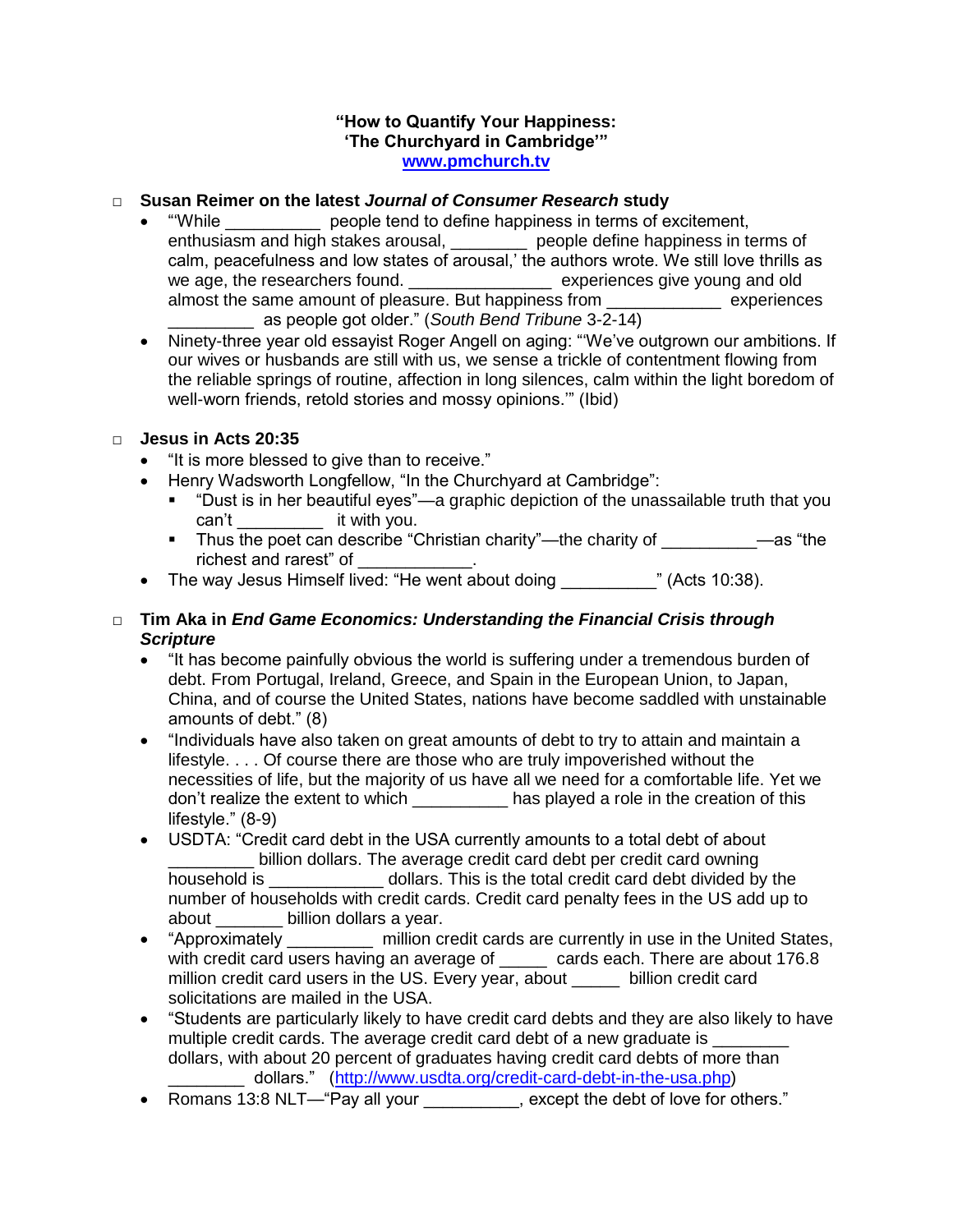#### **"How to Quantify Your Happiness: 'The Churchyard in Cambridge'" [www.pmchurch.tv](http://www.pmchurch.tv/)**

### □ **Susan Reimer on the latest** *Journal of Consumer Research* **study**

- "'While \_\_\_\_\_\_\_\_\_\_ people tend to define happiness in terms of excitement, enthusiasm and high stakes arousal, \_\_\_\_\_\_\_\_ people define happiness in terms of calm, peacefulness and low states of arousal,' the authors wrote. We still love thrills as we age, the researchers found. \_\_\_\_\_\_\_\_\_\_\_\_\_\_\_\_\_\_\_ experiences give young and old almost the same amount of pleasure. But happiness from \_\_\_\_\_\_\_\_\_\_\_\_ experiences \_\_\_\_\_\_\_\_\_ as people got older." (*South Bend Tribune* 3-2-14)
- Ninety-three year old essayist Roger Angell on aging: "We've outgrown our ambitions. If our wives or husbands are still with us, we sense a trickle of contentment flowing from the reliable springs of routine, affection in long silences, calm within the light boredom of well-worn friends, retold stories and mossy opinions.'" (Ibid)

# □ **Jesus in Acts 20:35**

- "It is more blessed to give than to receive."
- Henry Wadsworth Longfellow, "In the Churchyard at Cambridge":
	- "Dust is in her beautiful eyes"—a graphic depiction of the unassailable truth that you can't \_\_\_\_\_\_\_\_\_ it with you.
	- Thus the poet can describe "Christian charity"—the charity of \_\_\_\_\_\_\_\_\_\_\_\_\_\_—as "the richest and rarest" of \_\_\_
- The way Jesus Himself lived: "He went about doing \_\_\_\_\_\_\_\_\_\_\_\_\_\_\_\_\_\_\_\_\_\_\_\_\_\_\_\_\_<br>
(Acts 10:38).

# □ **Tim Aka in** *End Game Economics: Understanding the Financial Crisis through Scripture*

- "It has become painfully obvious the world is suffering under a tremendous burden of debt. From Portugal, Ireland, Greece, and Spain in the European Union, to Japan, China, and of course the United States, nations have become saddled with unstainable amounts of debt." (8)
- "Individuals have also taken on great amounts of debt to try to attain and maintain a lifestyle. . . . Of course there are those who are truly impoverished without the necessities of life, but the majority of us have all we need for a comfortable life. Yet we don't realize the extent to which has played a role in the creation of this lifestyle." (8-9)
- USDTA: "Credit card debt in the USA currently amounts to a total debt of about billion dollars. The average credit card debt per credit card owning household is \_\_\_\_\_\_\_\_\_\_\_\_ dollars. This is the total credit card debt divided by the number of households with credit cards. Credit card penalty fees in the US add up to about billion dollars a year.
- "Approximately million credit cards are currently in use in the United States, with credit card users having an average of cards each. There are about 176.8 million credit card users in the US. Every year, about \_\_\_\_\_\_ billion credit card solicitations are mailed in the USA.
- "Students are particularly likely to have credit card debts and they are also likely to have multiple credit cards. The average credit card debt of a new graduate is dollars, with about 20 percent of graduates having credit card debts of more than \_ dollars." [\(http://www.usdta.org/credit-card-debt-in-the-usa.php\)](http://www.usdta.org/credit-card-debt-in-the-usa.php)
- Romans 13:8 NLT—"Pay all your except the debt of love for others."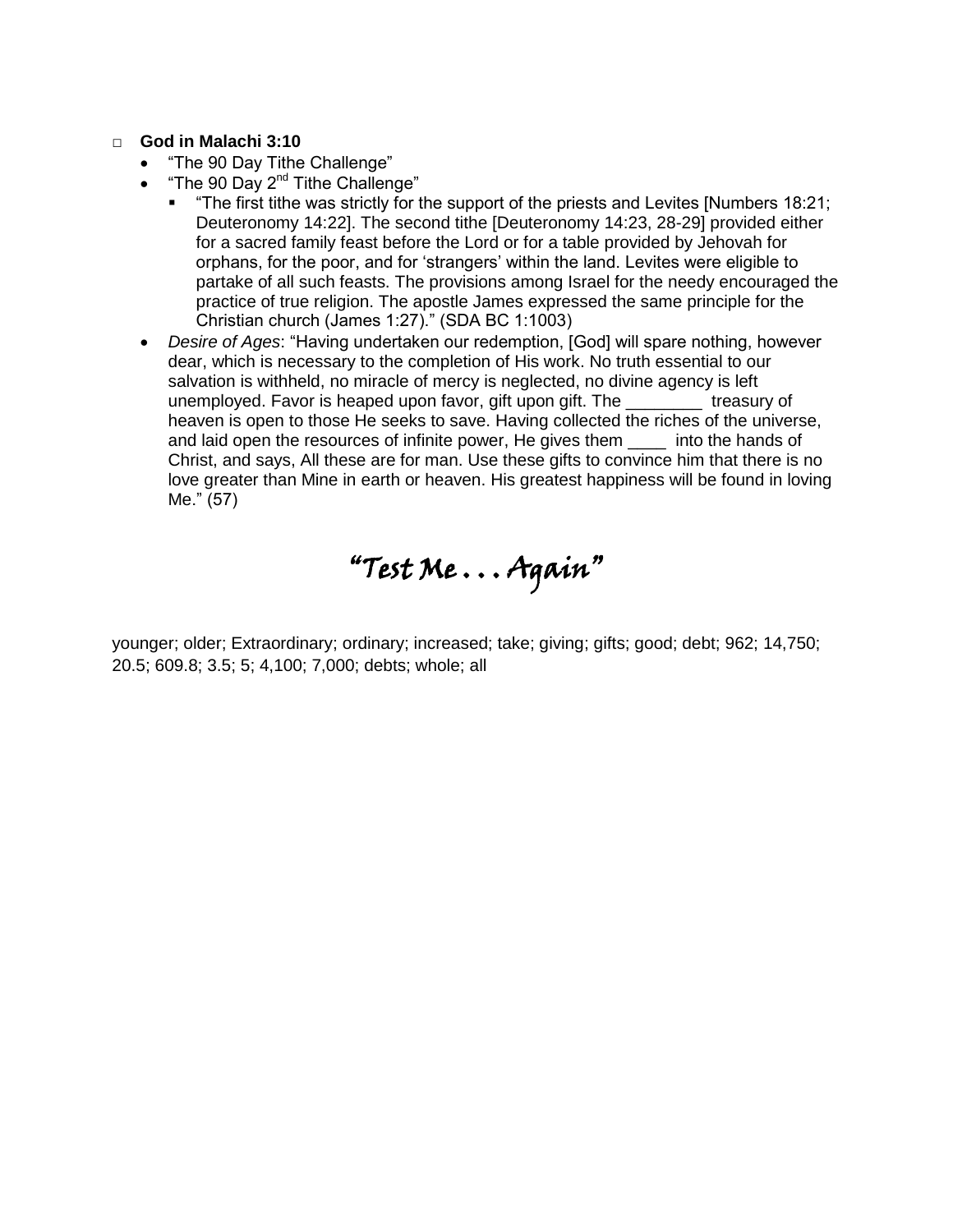#### □ **God in Malachi 3:10**

- "The 90 Day Tithe Challenge"
- "The 90 Day 2<sup>nd</sup> Tithe Challenge"
	- "The first tithe was strictly for the support of the priests and Levites [Numbers 18:21; Deuteronomy 14:22]. The second tithe [Deuteronomy 14:23, 28-29] provided either for a sacred family feast before the Lord or for a table provided by Jehovah for orphans, for the poor, and for 'strangers' within the land. Levites were eligible to partake of all such feasts. The provisions among Israel for the needy encouraged the practice of true religion. The apostle James expressed the same principle for the Christian church (James 1:27)." (SDA BC 1:1003)
- *Desire of Ages*: "Having undertaken our redemption, [God] will spare nothing, however dear, which is necessary to the completion of His work. No truth essential to our salvation is withheld, no miracle of mercy is neglected, no divine agency is left unemployed. Favor is heaped upon favor, gift upon gift. The \_\_\_\_\_\_\_\_ treasury of heaven is open to those He seeks to save. Having collected the riches of the universe, and laid open the resources of infinite power, He gives them \_\_\_\_ into the hands of Christ, and says, All these are for man. Use these gifts to convince him that there is no love greater than Mine in earth or heaven. His greatest happiness will be found in loving Me." (57)



younger; older; Extraordinary; ordinary; increased; take; giving; gifts; good; debt; 962; 14,750; 20.5; 609.8; 3.5; 5; 4,100; 7,000; debts; whole; all